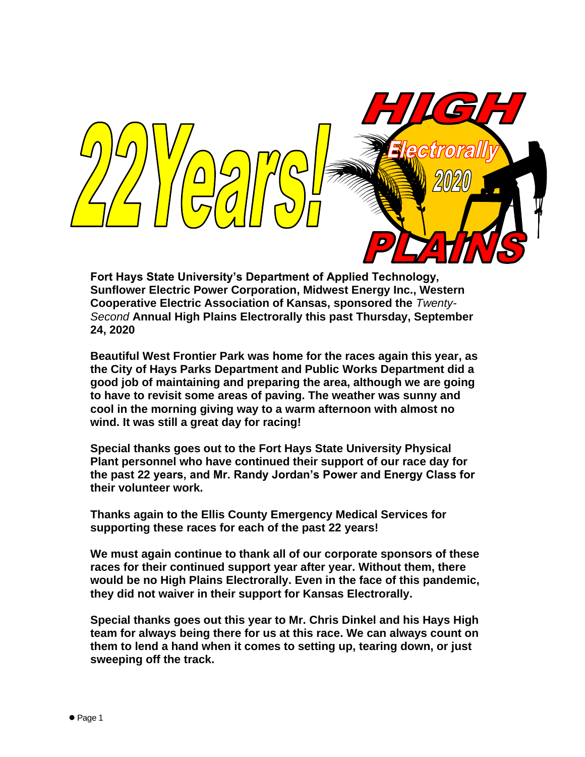

**Fort Hays State University's Department of Applied Technology, Sunflower Electric Power Corporation, Midwest Energy Inc., Western Cooperative Electric Association of Kansas, sponsored the** *Twenty-Second* **Annual High Plains Electrorally this past Thursday, September 24, 2020**

**Beautiful West Frontier Park was home for the races again this year, as the City of Hays Parks Department and Public Works Department did a good job of maintaining and preparing the area, although we are going to have to revisit some areas of paving. The weather was sunny and cool in the morning giving way to a warm afternoon with almost no wind. It was still a great day for racing!** 

**Special thanks goes out to the Fort Hays State University Physical Plant personnel who have continued their support of our race day for the past 22 years, and Mr. Randy Jordan's Power and Energy Class for their volunteer work.**

**Thanks again to the Ellis County Emergency Medical Services for supporting these races for each of the past 22 years!**

**We must again continue to thank all of our corporate sponsors of these races for their continued support year after year. Without them, there would be no High Plains Electrorally. Even in the face of this pandemic, they did not waiver in their support for Kansas Electrorally.**

**Special thanks goes out this year to Mr. Chris Dinkel and his Hays High team for always being there for us at this race. We can always count on them to lend a hand when it comes to setting up, tearing down, or just sweeping off the track.**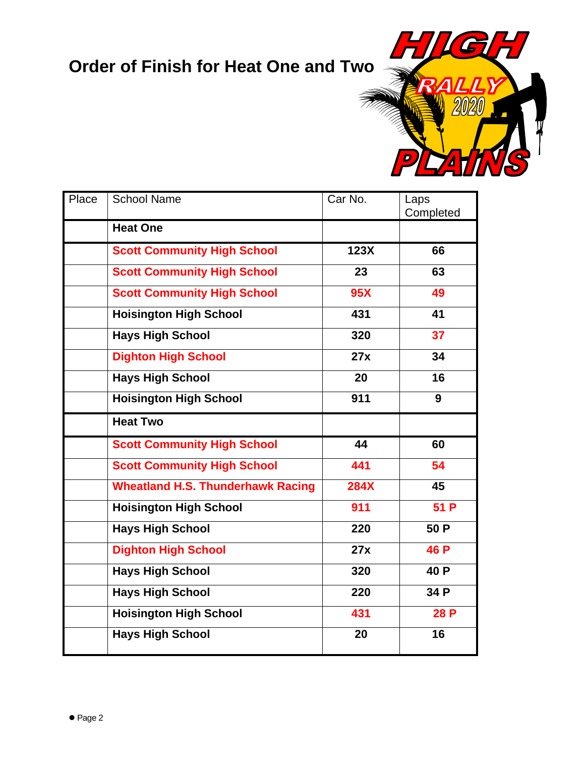## **Order of Finish for Heat One and Two**

6

 $\mathbf{A}$ 

| Place | <b>School Name</b>                       | Car No.     | Laps<br>Completed |
|-------|------------------------------------------|-------------|-------------------|
|       | <b>Heat One</b>                          |             |                   |
|       | <b>Scott Community High School</b>       | 123X        | 66                |
|       | <b>Scott Community High School</b>       | 23          | 63                |
|       | <b>Scott Community High School</b>       | <b>95X</b>  | 49                |
|       | <b>Hoisington High School</b>            | 431         | 41                |
|       | <b>Hays High School</b>                  | 320         | 37                |
|       | <b>Dighton High School</b>               | 27x         | 34                |
|       | <b>Hays High School</b>                  | 20          | 16                |
|       | <b>Hoisington High School</b>            | 911         | 9                 |
|       | <b>Heat Two</b>                          |             |                   |
|       | <b>Scott Community High School</b>       | 44          | 60                |
|       | <b>Scott Community High School</b>       | 441         | 54                |
|       | <b>Wheatland H.S. Thunderhawk Racing</b> | <b>284X</b> | 45                |
|       | <b>Hoisington High School</b>            | 911         | 51P               |
|       | <b>Hays High School</b>                  | 220         | 50 P              |
|       | <b>Dighton High School</b>               | 27x         | 46 P              |
|       | <b>Hays High School</b>                  | 320         | 40 P              |
|       | <b>Hays High School</b>                  | 220         | 34 P              |
|       | <b>Hoisington High School</b>            | 431         | 28 P              |
|       | <b>Hays High School</b>                  | 20          | 16                |